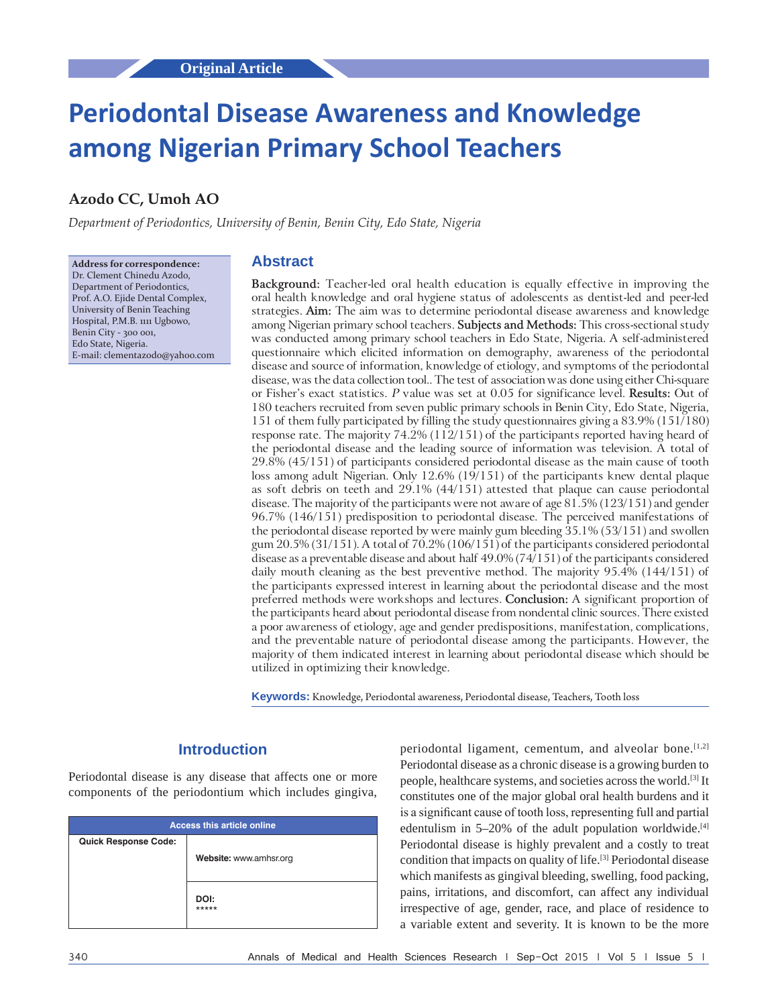# **Periodontal Disease Awareness and Knowledge among Nigerian Primary School Teachers**

## **Azodo CC, Umoh AO**

*Department of Periodontics, University of Benin, Benin City, Edo State, Nigeria*

**Address for correspondence:** Dr. Clement Chinedu Azodo, Department of Periodontics, Prof. A.O. Ejide Dental Complex, University of Benin Teaching Hospital, P.M.B. 1111 Ugbowo, Benin City - 300 001, Edo State, Nigeria. E‑mail: clementazodo@yahoo.com

#### **Abstract**

**Background:** Teacher‑led oral health education is equally effective in improving the oral health knowledge and oral hygiene status of adolescents as dentist‑led and peer‑led strategies. **Aim:** The aim was to determine periodontal disease awareness and knowledge among Nigerian primary school teachers. **Subjects and Methods:** This cross‑sectional study was conducted among primary school teachers in Edo State, Nigeria. A self-administered questionnaire which elicited information on demography, awareness of the periodontal disease and source of information, knowledge of etiology, and symptoms of the periodontal disease, was the data collection tool.. The test of association was done using either Chi-square or Fisher's exact statistics. *P* value was set at 0.05 for significance level. **Results:** Out of 180 teachers recruited from seven public primary schools in Benin City, Edo State, Nigeria, 151 of them fully participated by filling the study questionnaires giving a 83.9% (151/180) response rate. The majority 74.2% (112/151) of the participants reported having heard of the periodontal disease and the leading source of information was television. A total of 29.8% (45/151) of participants considered periodontal disease as the main cause of tooth loss among adult Nigerian. Only 12.6% (19/151) of the participants knew dental plaque as soft debris on teeth and 29.1% (44/151) attested that plaque can cause periodontal disease. The majority of the participants were not aware of age 81.5% (123/151) and gender 96.7% (146/151) predisposition to periodontal disease. The perceived manifestations of the periodontal disease reported by were mainly gum bleeding 35.1% (53/151) and swollen gum 20.5% (31/151). A total of 70.2% (106/151) of the participants considered periodontal disease as a preventable disease and about half 49.0% (74/151) of the participants considered daily mouth cleaning as the best preventive method. The majority 95.4% (144/151) of the participants expressed interest in learning about the periodontal disease and the most preferred methods were workshops and lectures. **Conclusion:** A significant proportion of the participants heard about periodontal disease from nondental clinic sources. There existed a poor awareness of etiology, age and gender predispositions, manifestation, complications, and the preventable nature of periodontal disease among the participants. However, the majority of them indicated interest in learning about periodontal disease which should be utilized in optimizing their knowledge.

**Keywords:** Knowledge, Periodontal awareness, Periodontal disease, Teachers, Tooth loss

## **Introduction**

Periodontal disease is any disease that affects one or more components of the periodontium which includes gingiva,

| <b>Access this article online</b> |                        |  |  |  |
|-----------------------------------|------------------------|--|--|--|
| <b>Quick Response Code:</b>       | Website: www.amhsr.org |  |  |  |
|                                   | DOI:<br>*****          |  |  |  |

periodontal ligament, cementum, and alveolar bone.<sup>[1,2]</sup> Periodontal disease as a chronic disease is a growing burden to people, healthcare systems, and societies across the world.[3] It constitutes one of the major global oral health burdens and it is a significant cause of tooth loss, representing full and partial edentulism in  $5-20\%$  of the adult population worldwide.<sup>[4]</sup> Periodontal disease is highly prevalent and a costly to treat condition that impacts on quality of life.[3] Periodontal disease which manifests as gingival bleeding, swelling, food packing, pains, irritations, and discomfort, can affect any individual irrespective of age, gender, race, and place of residence to a variable extent and severity. It is known to be the more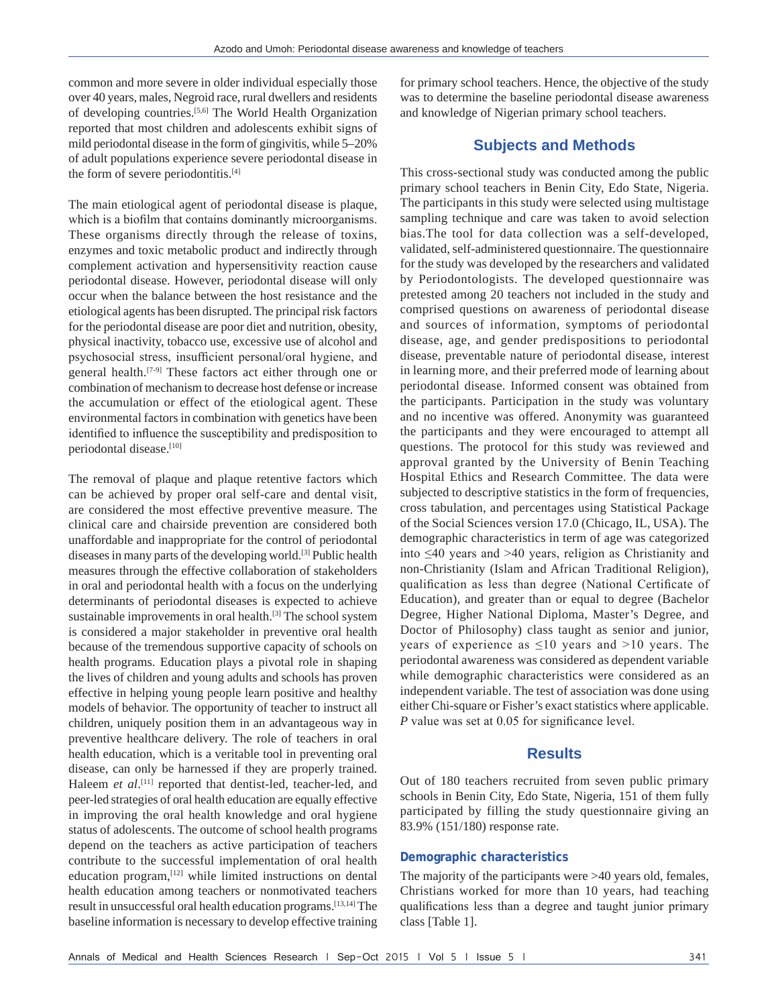common and more severe in older individual especially those over 40 years, males, Negroid race, rural dwellers and residents of developing countries.[5,6] The World Health Organization reported that most children and adolescents exhibit signs of mild periodontal disease in the form of gingivitis, while 5–20% of adult populations experience severe periodontal disease in the form of severe periodontitis.<sup>[4]</sup>

The main etiological agent of periodontal disease is plaque, which is a biofilm that contains dominantly microorganisms. These organisms directly through the release of toxins, enzymes and toxic metabolic product and indirectly through complement activation and hypersensitivity reaction cause periodontal disease. However, periodontal disease will only occur when the balance between the host resistance and the etiological agents has been disrupted. The principal risk factors for the periodontal disease are poor diet and nutrition, obesity, physical inactivity, tobacco use, excessive use of alcohol and psychosocial stress, insufficient personal/oral hygiene, and general health.[7-9] These factors act either through one or combination of mechanism to decrease host defense or increase the accumulation or effect of the etiological agent. These environmental factors in combination with genetics have been identified to influence the susceptibility and predisposition to periodontal disease.<sup>[10]</sup>

The removal of plaque and plaque retentive factors which can be achieved by proper oral self-care and dental visit, are considered the most effective preventive measure. The clinical care and chairside prevention are considered both unaffordable and inappropriate for the control of periodontal diseases in many parts of the developing world.[3] Public health measures through the effective collaboration of stakeholders in oral and periodontal health with a focus on the underlying determinants of periodontal diseases is expected to achieve sustainable improvements in oral health.[3] The school system is considered a major stakeholder in preventive oral health because of the tremendous supportive capacity of schools on health programs. Education plays a pivotal role in shaping the lives of children and young adults and schools has proven effective in helping young people learn positive and healthy models of behavior. The opportunity of teacher to instruct all children, uniquely position them in an advantageous way in preventive healthcare delivery. The role of teachers in oral health education, which is a veritable tool in preventing oral disease, can only be harnessed if they are properly trained. Haleem *et al.*<sup>[11]</sup> reported that dentist-led, teacher-led, and peer-led strategies of oral health education are equally effective in improving the oral health knowledge and oral hygiene status of adolescents. The outcome of school health programs depend on the teachers as active participation of teachers contribute to the successful implementation of oral health education program,<sup>[12]</sup> while limited instructions on dental health education among teachers or nonmotivated teachers result in unsuccessful oral health education programs.[13,14] The baseline information is necessary to develop effective training

for primary school teachers. Hence, the objective of the study was to determine the baseline periodontal disease awareness and knowledge of Nigerian primary school teachers.

### **Subjects and Methods**

This cross-sectional study was conducted among the public primary school teachers in Benin City, Edo State, Nigeria. The participants in this study were selected using multistage sampling technique and care was taken to avoid selection bias.The tool for data collection was a self-developed, validated, self-administered questionnaire. The questionnaire for the study was developed by the researchers and validated by Periodontologists. The developed questionnaire was pretested among 20 teachers not included in the study and comprised questions on awareness of periodontal disease and sources of information, symptoms of periodontal disease, age, and gender predispositions to periodontal disease, preventable nature of periodontal disease, interest in learning more, and their preferred mode of learning about periodontal disease. Informed consent was obtained from the participants. Participation in the study was voluntary and no incentive was offered. Anonymity was guaranteed the participants and they were encouraged to attempt all questions. The protocol for this study was reviewed and approval granted by the University of Benin Teaching Hospital Ethics and Research Committee. The data were subjected to descriptive statistics in the form of frequencies, cross tabulation, and percentages using Statistical Package of the Social Sciences version 17.0 (Chicago, IL, USA). The demographic characteristics in term of age was categorized into ≤40 years and >40 years, religion as Christianity and non-Christianity (Islam and African Traditional Religion), qualification as less than degree (National Certificate of Education), and greater than or equal to degree (Bachelor Degree, Higher National Diploma, Master's Degree, and Doctor of Philosophy) class taught as senior and junior, years of experience as  $\leq 10$  years and >10 years. The periodontal awareness was considered as dependent variable while demographic characteristics were considered as an independent variable. The test of association was done using either Chi-square or Fisher's exact statistics where applicable. *P* value was set at 0.05 for significance level.

#### **Results**

Out of 180 teachers recruited from seven public primary schools in Benin City, Edo State, Nigeria, 151 of them fully participated by filling the study questionnaire giving an 83.9% (151/180) response rate.

#### **Demographic characteristics**

The majority of the participants were >40 years old, females, Christians worked for more than 10 years, had teaching qualifications less than a degree and taught junior primary class [Table 1].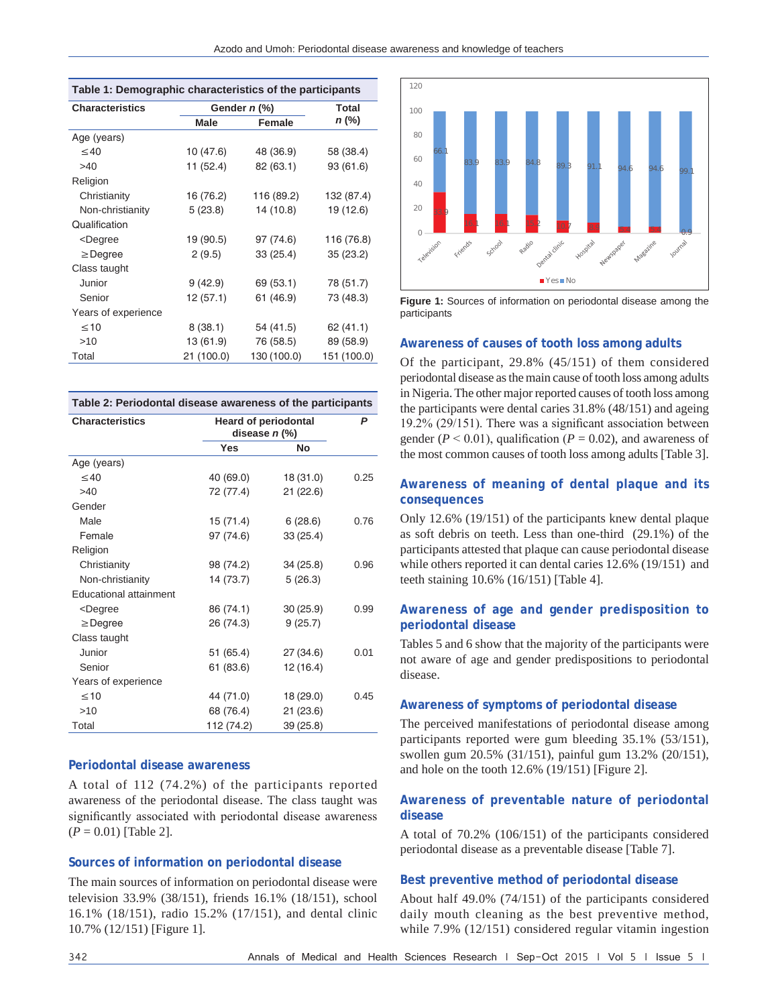| Azodo and Umoh: Periodontal disease awareness and knowledge of teachers |  |  |  |  |  |  |  |
|-------------------------------------------------------------------------|--|--|--|--|--|--|--|
|-------------------------------------------------------------------------|--|--|--|--|--|--|--|

| Table 1: Demographic characteristics of the participants                         |            |              |             |  |  |
|----------------------------------------------------------------------------------|------------|--------------|-------------|--|--|
| <b>Characteristics</b>                                                           |            | Gender n (%) | Total       |  |  |
|                                                                                  | Male       | Female       | n (%)       |  |  |
| Age (years)                                                                      |            |              |             |  |  |
| $\leq 40$                                                                        | 10(47.6)   | 48 (36.9)    | 58 (38.4)   |  |  |
| >40                                                                              | 11 (52.4)  | 82 (63.1)    | 93 (61.6)   |  |  |
| Religion                                                                         |            |              |             |  |  |
| Christianity                                                                     | 16 (76.2)  | 116 (89.2)   | 132 (87.4)  |  |  |
| Non-christianity                                                                 | 5(23.8)    | 14 (10.8)    | 19 (12.6)   |  |  |
| Qualification                                                                    |            |              |             |  |  |
| <degree< td=""><td>19 (90.5)</td><td>97 (74.6)</td><td>116 (76.8)</td></degree<> | 19 (90.5)  | 97 (74.6)    | 116 (76.8)  |  |  |
| $\geq$ Degree                                                                    | 2(9.5)     | 33(25.4)     | 35(23.2)    |  |  |
| Class taught                                                                     |            |              |             |  |  |
| Junior                                                                           | 9(42.9)    | 69 (53.1)    | 78 (51.7)   |  |  |
| Senior                                                                           | 12 (57.1)  | 61 (46.9)    | 73 (48.3)   |  |  |
| Years of experience                                                              |            |              |             |  |  |
| $\leq 10$                                                                        | 8(38.1)    | 54 (41.5)    | 62 (41.1)   |  |  |
| >10                                                                              | 13 (61.9)  | 76 (58.5)    | 89 (58.9)   |  |  |
| Total                                                                            | 21 (100.0) | 130 (100.0)  | 151 (100.0) |  |  |

| Table 2: Periodontal disease awareness of the participants                |                                                |           |      |  |
|---------------------------------------------------------------------------|------------------------------------------------|-----------|------|--|
| <b>Characteristics</b>                                                    | <b>Heard of periodontal</b><br>disease $n$ (%) |           | P    |  |
|                                                                           | Yes                                            | No        |      |  |
| Age (years)                                                               |                                                |           |      |  |
| $\leq 40$                                                                 | 40 (69.0)                                      | 18 (31.0) | 0.25 |  |
| >40                                                                       | 72 (77.4)                                      | 21(22.6)  |      |  |
| Gender                                                                    |                                                |           |      |  |
| Male                                                                      | 15 (71.4)                                      | 6(28.6)   | 0.76 |  |
| Female                                                                    | 97 (74.6)                                      | 33(25.4)  |      |  |
| Religion                                                                  |                                                |           |      |  |
| Christianity                                                              | 98 (74.2)                                      | 34 (25.8) | 0.96 |  |
| Non-christianity                                                          | 14 (73.7)                                      | 5(26.3)   |      |  |
| <b>Educational attainment</b>                                             |                                                |           |      |  |
| <degree< td=""><td>86 (74.1)</td><td>30(25.9)</td><td>0.99</td></degree<> | 86 (74.1)                                      | 30(25.9)  | 0.99 |  |
| $\geq$ Degree                                                             | 26 (74.3)                                      | 9(25.7)   |      |  |
| Class taught                                                              |                                                |           |      |  |
| Junior                                                                    | 51 (65.4)                                      | 27(34.6)  | 0.01 |  |
| Senior                                                                    | 61 (83.6)                                      | 12(16.4)  |      |  |
| Years of experience                                                       |                                                |           |      |  |
| $\leq 10$                                                                 | 44 (71.0)                                      | 18 (29.0) | 0.45 |  |
| >10                                                                       | 68 (76.4)                                      | 21(23.6)  |      |  |
| Total                                                                     | 112 (74.2)                                     | 39 (25.8) |      |  |

### **Periodontal disease awareness**

A total of 112 (74.2%) of the participants reported awareness of the periodontal disease. The class taught was significantly associated with periodontal disease awareness (*P* = 0.01) [Table 2].

#### **Sources of information on periodontal disease**

The main sources of information on periodontal disease were television 33.9% (38/151), friends 16.1% (18/151), school 16.1% (18/151), radio 15.2% (17/151), and dental clinic 10.7% (12/151) [Figure 1].



**Figure 1:** Sources of information on periodontal disease among the participants

#### **Awareness of causes of tooth loss among adults**

Of the participant, 29.8% (45/151) of them considered periodontal disease as the main cause of tooth loss among adults in Nigeria. The other major reported causes of tooth loss among the participants were dental caries 31.8% (48/151) and ageing 19.2% (29/151). There was a significant association between gender  $(P < 0.01)$ , qualification  $(P = 0.02)$ , and awareness of the most common causes of tooth loss among adults [Table 3].

#### **Awareness of meaning of dental plaque and its consequences**

Only 12.6% (19/151) of the participants knew dental plaque as soft debris on teeth. Less than one-third (29.1%) of the participants attested that plaque can cause periodontal disease while others reported it can dental caries 12.6% (19/151) and teeth staining 10.6% (16/151) [Table 4].

#### **Awareness of age and gender predisposition to periodontal disease**

Tables 5 and 6 show that the majority of the participants were not aware of age and gender predispositions to periodontal disease.

#### **Awareness of symptoms of periodontal disease**

The perceived manifestations of periodontal disease among participants reported were gum bleeding 35.1% (53/151), swollen gum 20.5% (31/151), painful gum 13.2% (20/151), and hole on the tooth 12.6% (19/151) [Figure 2].

#### **Awareness of preventable nature of periodontal disease**

A total of 70.2% (106/151) of the participants considered periodontal disease as a preventable disease [Table 7].

#### **Best preventive method of periodontal disease**

About half 49.0% (74/151) of the participants considered daily mouth cleaning as the best preventive method, while 7.9% (12/151) considered regular vitamin ingestion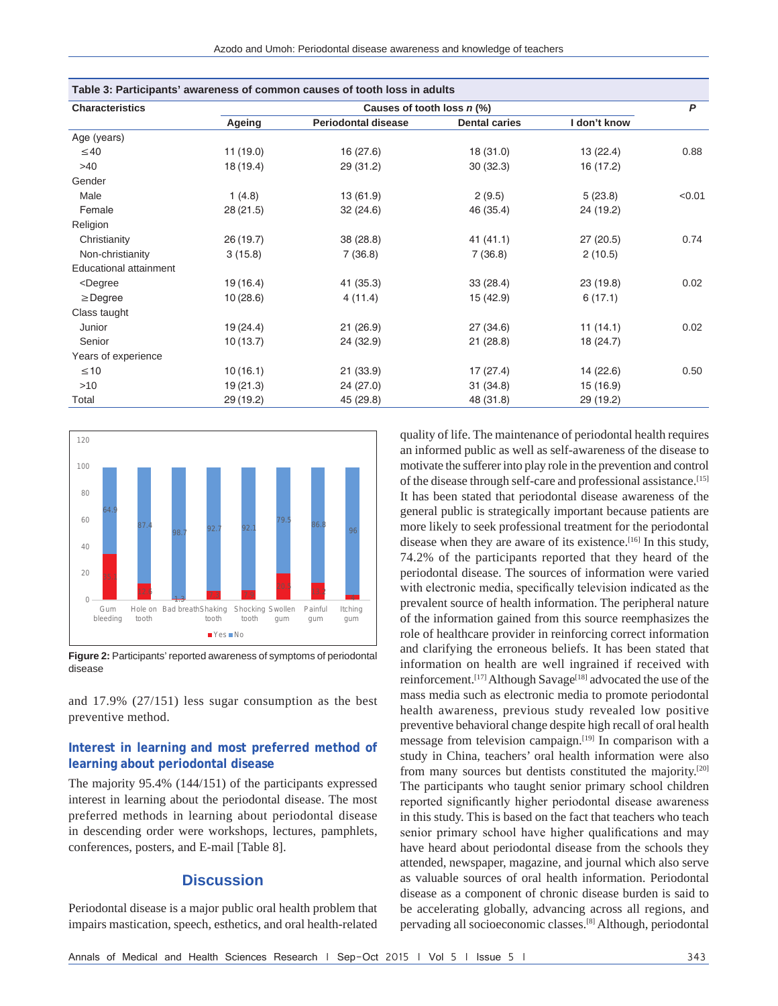| Table 3: Participants' awareness of common causes of tooth loss in adults                                    |           |                            |                      |              |        |
|--------------------------------------------------------------------------------------------------------------|-----------|----------------------------|----------------------|--------------|--------|
| <b>Characteristics</b>                                                                                       |           | Causes of tooth loss n (%) |                      |              | P      |
|                                                                                                              | Ageing    | <b>Periodontal disease</b> | <b>Dental caries</b> | I don't know |        |
| Age (years)                                                                                                  |           |                            |                      |              |        |
| $\leq 40$                                                                                                    | 11(19.0)  | 16 (27.6)                  | 18 (31.0)            | 13(22.4)     | 0.88   |
| >40                                                                                                          | 18 (19.4) | 29 (31.2)                  | 30(32.3)             | 16 (17.2)    |        |
| Gender                                                                                                       |           |                            |                      |              |        |
| Male                                                                                                         | 1(4.8)    | 13(61.9)                   | 2(9.5)               | 5(23.8)      | < 0.01 |
| Female                                                                                                       | 28(21.5)  | 32(24.6)                   | 46 (35.4)            | 24 (19.2)    |        |
| Religion                                                                                                     |           |                            |                      |              |        |
| Christianity                                                                                                 | 26 (19.7) | 38 (28.8)                  | 41(41.1)             | 27(20.5)     | 0.74   |
| Non-christianity                                                                                             | 3(15.8)   | 7(36.8)                    | 7(36.8)              | 2(10.5)      |        |
| <b>Educational attainment</b>                                                                                |           |                            |                      |              |        |
| <degree< td=""><td>19(16.4)</td><td>41(35.3)</td><td>33 (28.4)</td><td>23 (19.8)</td><td>0.02</td></degree<> | 19(16.4)  | 41(35.3)                   | 33 (28.4)            | 23 (19.8)    | 0.02   |
| $\geq$ Degree                                                                                                | 10(28.6)  | 4 (11.4)                   | 15 (42.9)            | 6(17.1)      |        |
| Class taught                                                                                                 |           |                            |                      |              |        |
| Junior                                                                                                       | 19 (24.4) | 21(26.9)                   | 27 (34.6)            | 11(14.1)     | 0.02   |
| Senior                                                                                                       | 10(13.7)  | 24 (32.9)                  | 21(28.8)             | 18 (24.7)    |        |
| Years of experience                                                                                          |           |                            |                      |              |        |
| $\leq 10$                                                                                                    | 10(16.1)  | 21(33.9)                   | 17 (27.4)            | 14 (22.6)    | 0.50   |
| >10                                                                                                          | 19(21.3)  | 24 (27.0)                  | 31(34.8)             | 15 (16.9)    |        |
| Total                                                                                                        | 29 (19.2) | 45 (29.8)                  | 48 (31.8)            | 29 (19.2)    |        |



**Figure 2:** Participants' reported awareness of symptoms of periodontal disease

and 17.9% (27/151) less sugar consumption as the best preventive method.

#### **Interest in learning and most preferred method of learning about periodontal disease**

The majority 95.4% (144/151) of the participants expressed interest in learning about the periodontal disease. The most preferred methods in learning about periodontal disease in descending order were workshops, lectures, pamphlets, conferences, posters, and E-mail [Table 8].

#### **Discussion**

Periodontal disease is a major public oral health problem that impairs mastication, speech, esthetics, and oral health-related quality of life. The maintenance of periodontal health requires an informed public as well as self-awareness of the disease to motivate the sufferer into play role in the prevention and control of the disease through self-care and professional assistance.[15] It has been stated that periodontal disease awareness of the general public is strategically important because patients are more likely to seek professional treatment for the periodontal disease when they are aware of its existence.[16] In this study, 74.2% of the participants reported that they heard of the periodontal disease. The sources of information were varied with electronic media, specifically television indicated as the prevalent source of health information. The peripheral nature of the information gained from this source reemphasizes the role of healthcare provider in reinforcing correct information and clarifying the erroneous beliefs. It has been stated that information on health are well ingrained if received with reinforcement.<sup>[17]</sup> Although Savage<sup>[18]</sup> advocated the use of the mass media such as electronic media to promote periodontal health awareness, previous study revealed low positive preventive behavioral change despite high recall of oral health message from television campaign.[19] In comparison with a study in China, teachers' oral health information were also from many sources but dentists constituted the majority.[20] The participants who taught senior primary school children reported significantly higher periodontal disease awareness in this study. This is based on the fact that teachers who teach senior primary school have higher qualifications and may have heard about periodontal disease from the schools they attended, newspaper, magazine, and journal which also serve as valuable sources of oral health information. Periodontal disease as a component of chronic disease burden is said to be accelerating globally, advancing across all regions, and pervading all socioeconomic classes.[8] Although, periodontal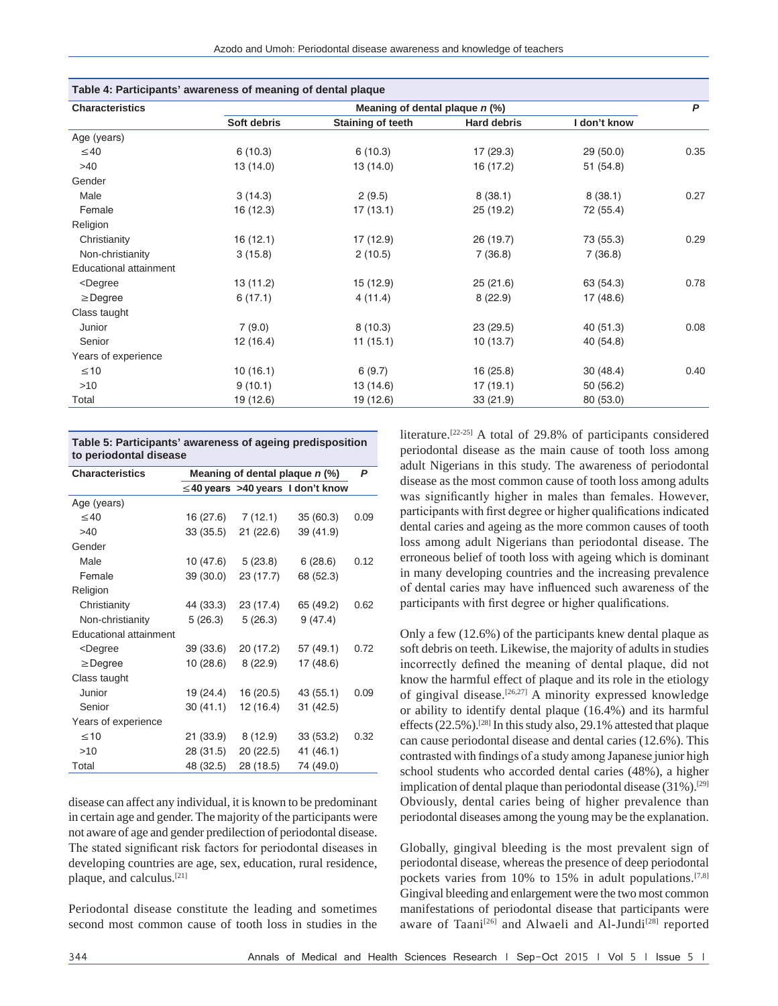| Table 4: Participants' awareness of meaning of dental plaque                                                 |                                  |                   |                    |              |      |
|--------------------------------------------------------------------------------------------------------------|----------------------------------|-------------------|--------------------|--------------|------|
| <b>Characteristics</b>                                                                                       | Meaning of dental plaque $n$ (%) |                   |                    |              |      |
|                                                                                                              | Soft debris                      | Staining of teeth | <b>Hard debris</b> | I don't know |      |
| Age (years)                                                                                                  |                                  |                   |                    |              |      |
| $\leq 40$                                                                                                    | 6(10.3)                          | 6(10.3)           | 17(29.3)           | 29(50.0)     | 0.35 |
| >40                                                                                                          | 13 (14.0)                        | 13(14.0)          | 16 (17.2)          | 51 (54.8)    |      |
| Gender                                                                                                       |                                  |                   |                    |              |      |
| Male                                                                                                         | 3(14.3)                          | 2(9.5)            | 8(38.1)            | 8(38.1)      | 0.27 |
| Female                                                                                                       | 16 (12.3)                        | 17(13.1)          | 25 (19.2)          | 72 (55.4)    |      |
| Religion                                                                                                     |                                  |                   |                    |              |      |
| Christianity                                                                                                 | 16(12.1)                         | 17 (12.9)         | 26 (19.7)          | 73 (55.3)    | 0.29 |
| Non-christianity                                                                                             | 3(15.8)                          | 2(10.5)           | 7(36.8)            | 7(36.8)      |      |
| Educational attainment                                                                                       |                                  |                   |                    |              |      |
| <degree< td=""><td>13(11.2)</td><td>15 (12.9)</td><td>25(21.6)</td><td>63 (54.3)</td><td>0.78</td></degree<> | 13(11.2)                         | 15 (12.9)         | 25(21.6)           | 63 (54.3)    | 0.78 |
| $\geq$ Degree                                                                                                | 6(17.1)                          | 4(11.4)           | 8(22.9)            | 17 (48.6)    |      |
| Class taught                                                                                                 |                                  |                   |                    |              |      |
| Junior                                                                                                       | 7(9.0)                           | 8(10.3)           | 23(29.5)           | 40(51.3)     | 0.08 |
| Senior                                                                                                       | 12(16.4)                         | 11(15.1)          | 10(13.7)           | 40 (54.8)    |      |
| Years of experience                                                                                          |                                  |                   |                    |              |      |
| $\leq 10$                                                                                                    | 10(16.1)                         | 6(9.7)            | 16(25.8)           | 30(48.4)     | 0.40 |
| $>10$                                                                                                        | 9(10.1)                          | 13 (14.6)         | 17(19.1)           | 50 (56.2)    |      |
| Total                                                                                                        | 19 (12.6)                        | 19 (12.6)         | 33 (21.9)          | 80 (53.0)    |      |

| Table 5: Participants' awareness of ageing predisposition |  |  |
|-----------------------------------------------------------|--|--|
| to periodontal disease                                    |  |  |

| <b>Characteristics</b>                                                                       | Meaning of dental plaque $n$ (%) |                      |                                        |      |  |
|----------------------------------------------------------------------------------------------|----------------------------------|----------------------|----------------------------------------|------|--|
|                                                                                              |                                  |                      | $\leq$ 40 years >40 years 1 don't know |      |  |
| Age (years)                                                                                  |                                  |                      |                                        |      |  |
| $\leq 40$                                                                                    | 16 (27.6)                        | 7 (12.1)             | 35(60.3)                               | 0.09 |  |
| >40                                                                                          | 33 (35.5)                        | 21(22.6)             | 39 (41.9)                              |      |  |
| Gender                                                                                       |                                  |                      |                                        |      |  |
| Male                                                                                         | 10 (47.6)                        | 5 (23.8)             | 6(28.6)                                | 0.12 |  |
| Female                                                                                       | 39 (30.0)                        | 23 (17.7)            | 68 (52.3)                              |      |  |
| Religion                                                                                     |                                  |                      |                                        |      |  |
| Christianity                                                                                 | 44 (33.3)                        | 23 (17.4)            | 65 (49.2)                              | 0.62 |  |
| Non-christianity                                                                             | 5(26.3)                          | 5(26.3)              | 9(47.4)                                |      |  |
| <b>Educational attainment</b>                                                                |                                  |                      |                                        |      |  |
| <degree< td=""><td>39 (33.6)</td><td>20 (17.2)</td><td>57 (49.1)</td><td>0.72</td></degree<> | 39 (33.6)                        | 20 (17.2)            | 57 (49.1)                              | 0.72 |  |
| $\geq$ Degree                                                                                | 10(28.6)                         | 8(22.9)              | 17 (48.6)                              |      |  |
| Class taught                                                                                 |                                  |                      |                                        |      |  |
| Junior                                                                                       | 19 (24.4)                        | 16 (20.5)            | 43 (55.1)                              | 0.09 |  |
| Senior                                                                                       | 30(41.1)                         | 12 (16.4)            | 31(42.5)                               |      |  |
| Years of experience                                                                          |                                  |                      |                                        |      |  |
| $\leq 10$                                                                                    |                                  | $21(33.9)$ $8(12.9)$ | 33(53.2)                               | 0.32 |  |
| >10                                                                                          | 28 (31.5)                        | 20 (22.5)            | 41 (46.1)                              |      |  |
| Total                                                                                        | 48 (32.5)                        | 28 (18.5)            | 74 (49.0)                              |      |  |

disease can affect any individual, it is known to be predominant in certain age and gender. The majority of the participants were not aware of age and gender predilection of periodontal disease. The stated significant risk factors for periodontal diseases in developing countries are age, sex, education, rural residence, plaque, and calculus.[21]

Periodontal disease constitute the leading and sometimes second most common cause of tooth loss in studies in the literature.[22-25] A total of 29.8% of participants considered periodontal disease as the main cause of tooth loss among adult Nigerians in this study. The awareness of periodontal disease as the most common cause of tooth loss among adults was significantly higher in males than females. However, participants with first degree or higher qualificationsindicated dental caries and ageing as the more common causes of tooth loss among adult Nigerians than periodontal disease. The erroneous belief of tooth loss with ageing which is dominant in many developing countries and the increasing prevalence of dental caries may have influenced such awareness of the participants with first degree or higher qualifications.

Only a few (12.6%) of the participants knew dental plaque as soft debris on teeth. Likewise, the majority of adults in studies incorrectly defined the meaning of dental plaque, did not know the harmful effect of plaque and its role in the etiology of gingival disease.[26,27] A minority expressed knowledge or ability to identify dental plaque (16.4%) and its harmful effects(22.5%).[28] In this study also, 29.1% attested that plaque can cause periodontal disease and dental caries (12.6%). This contrasted with findings of a study among Japanese junior high school students who accorded dental caries (48%), a higher implication of dental plaque than periodontal disease  $(31\%)$ .<sup>[29]</sup> Obviously, dental caries being of higher prevalence than periodontal diseases among the young may be the explanation.

Globally, gingival bleeding is the most prevalent sign of periodontal disease, whereas the presence of deep periodontal pockets varies from 10% to 15% in adult populations.<sup>[7,8]</sup> Gingival bleeding and enlargement were the two most common manifestations of periodontal disease that participants were aware of Taani<sup>[26]</sup> and Alwaeli and Al-Jundi<sup>[28]</sup> reported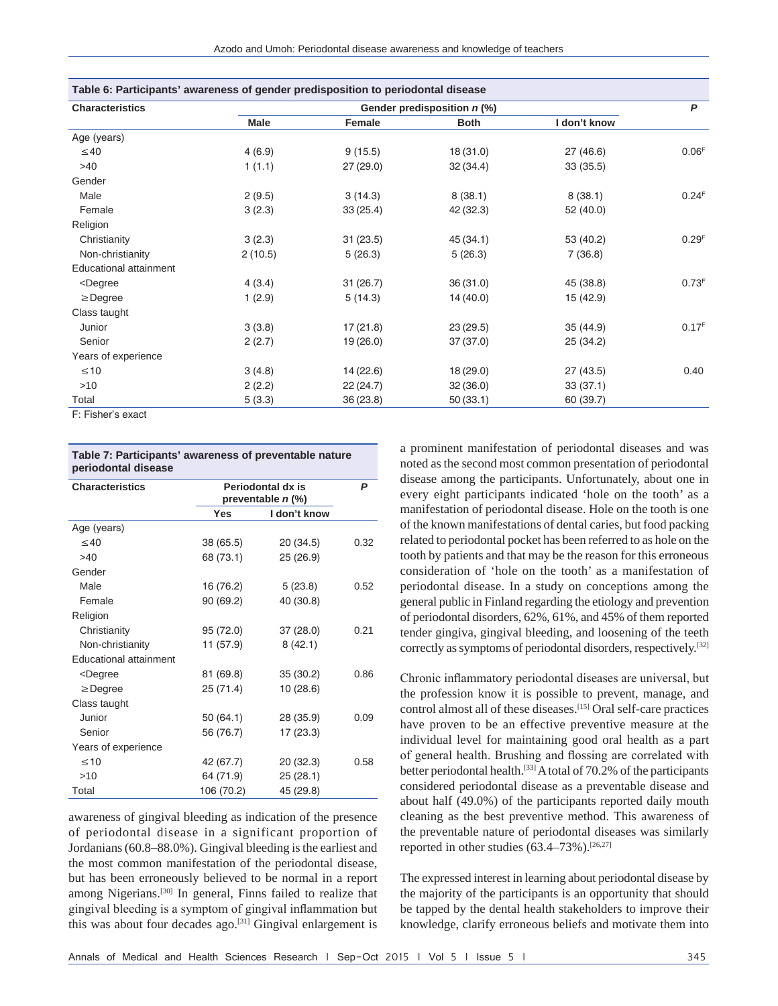| Table 6: Participants' awareness of gender predisposition to periodontal disease                                      |             |                             |             |              |                   |  |
|-----------------------------------------------------------------------------------------------------------------------|-------------|-----------------------------|-------------|--------------|-------------------|--|
| <b>Characteristics</b>                                                                                                |             | Gender predisposition n (%) |             |              |                   |  |
|                                                                                                                       | <b>Male</b> | Female                      | <b>Both</b> | I don't know |                   |  |
| Age (years)                                                                                                           |             |                             |             |              |                   |  |
| $\leq 40$                                                                                                             | 4(6.9)      | 9(15.5)                     | 18(31.0)    | 27(46.6)     | 0.06 <sup>F</sup> |  |
| >40                                                                                                                   | 1(1.1)      | 27(29.0)                    | 32(34.4)    | 33(35.5)     |                   |  |
| Gender                                                                                                                |             |                             |             |              |                   |  |
| Male                                                                                                                  | 2(9.5)      | 3(14.3)                     | 8(38.1)     | 8(38.1)      | 0.24 <sup>F</sup> |  |
| Female                                                                                                                | 3(2.3)      | 33(25.4)                    | 42 (32.3)   | 52 (40.0)    |                   |  |
| Religion                                                                                                              |             |                             |             |              |                   |  |
| Christianity                                                                                                          | 3(2.3)      | 31(23.5)                    | 45(34.1)    | 53 (40.2)    | 0.29 <sup>F</sup> |  |
| Non-christianity                                                                                                      | 2(10.5)     | 5(26.3)                     | 5(26.3)     | 7(36.8)      |                   |  |
| Educational attainment                                                                                                |             |                             |             |              |                   |  |
| <degree< td=""><td>4(3.4)</td><td>31(26.7)</td><td>36(31.0)</td><td>45 (38.8)</td><td>0.73<sup>F</sup></td></degree<> | 4(3.4)      | 31(26.7)                    | 36(31.0)    | 45 (38.8)    | 0.73 <sup>F</sup> |  |
| $\geq$ Degree                                                                                                         | 1(2.9)      | 5(14.3)                     | 14(40.0)    | 15 (42.9)    |                   |  |
| Class taught                                                                                                          |             |                             |             |              |                   |  |
| Junior                                                                                                                | 3(3.8)      | 17(21.8)                    | 23(29.5)    | 35(44.9)     | 0.17 <sup>F</sup> |  |
| Senior                                                                                                                | 2(2.7)      | 19 (26.0)                   | 37(37.0)    | 25 (34.2)    |                   |  |
| Years of experience                                                                                                   |             |                             |             |              |                   |  |
| $\leq 10$                                                                                                             | 3(4.8)      | 14 (22.6)                   | 18(29.0)    | 27 (43.5)    | 0.40              |  |
| >10                                                                                                                   | 2(2.2)      | 22(24.7)                    | 32(36.0)    | 33(37.1)     |                   |  |
| Total                                                                                                                 | 5(3.3)      | 36 (23.8)                   | 50(33.1)    | 60 (39.7)    |                   |  |
| F: Fisher's exact                                                                                                     |             |                             |             |              |                   |  |

| Table 7: Participants' awareness of preventable nature<br>periodontal disease |                                               |              |      |  |  |
|-------------------------------------------------------------------------------|-----------------------------------------------|--------------|------|--|--|
| <b>Characteristics</b>                                                        | Periodontal dx is<br>preventable <i>n</i> (%) | P            |      |  |  |
|                                                                               | <b>Yes</b>                                    | I don't know |      |  |  |
| Age (years)                                                                   |                                               |              |      |  |  |
| $\leq 40$                                                                     | 38 (65.5)                                     | 20 (34.5)    | 0.32 |  |  |
| >40                                                                           | 68 (73.1)                                     | 25(26.9)     |      |  |  |
| Gender                                                                        |                                               |              |      |  |  |
| Male                                                                          | 16 (76.2)                                     | 5(23.8)      | 0.52 |  |  |
| Female                                                                        | 90 (69.2)                                     | 40 (30.8)    |      |  |  |
| Religion                                                                      |                                               |              |      |  |  |
| Christianity                                                                  | 95 (72.0)                                     | 37(28.0)     | 0.21 |  |  |
| Non-christianity                                                              | 11 (57.9)                                     | 8(42.1)      |      |  |  |
| <b>Educational attainment</b>                                                 |                                               |              |      |  |  |
| <degree< td=""><td>81 (69.8)</td><td>35(30.2)</td><td>0.86</td></degree<>     | 81 (69.8)                                     | 35(30.2)     | 0.86 |  |  |
| $\geq$ Degree                                                                 | 25 (71.4)                                     | 10(28.6)     |      |  |  |
| Class taught                                                                  |                                               |              |      |  |  |
| Junior                                                                        | 50 (64.1)                                     | 28 (35.9)    | 0.09 |  |  |
| Senior                                                                        | 56 (76.7)                                     | 17 (23.3)    |      |  |  |
| Years of experience                                                           |                                               |              |      |  |  |
| $\leq 10$                                                                     | 42 (67.7)                                     | 20(32.3)     | 0.58 |  |  |
| >10                                                                           | 64 (71.9)                                     | 25(28.1)     |      |  |  |
| Total                                                                         | 106 (70.2)                                    | 45 (29.8)    |      |  |  |

awareness of gingival bleeding as indication of the presence of periodontal disease in a significant proportion of Jordanians(60.8–88.0%). Gingival bleeding is the earliest and the most common manifestation of the periodontal disease, but has been erroneously believed to be normal in a report among Nigerians.<sup>[30]</sup> In general, Finns failed to realize that gingival bleeding is a symptom of gingival inflammation but this was about four decades ago.<sup>[31]</sup> Gingival enlargement is a prominent manifestation of periodontal diseases and was noted as the second most common presentation of periodontal disease among the participants. Unfortunately, about one in every eight participants indicated 'hole on the tooth' as a manifestation of periodontal disease. Hole on the tooth is one of the known manifestations of dental caries, but food packing related to periodontal pocket has been referred to as hole on the tooth by patients and that may be the reason for this erroneous consideration of 'hole on the tooth' as a manifestation of periodontal disease. In a study on conceptions among the general public in Finland regarding the etiology and prevention of periodontal disorders, 62%, 61%, and 45% of them reported tender gingiva, gingival bleeding, and loosening of the teeth correctly as symptoms of periodontal disorders, respectively.[32]

Chronic inflammatory periodontal diseases are universal, but the profession know it is possible to prevent, manage, and control almost all of these diseases.[15] Oral self-care practices have proven to be an effective preventive measure at the individual level for maintaining good oral health as a part of general health. Brushing and flossing are correlated with better periodontal health.[33] A total of 70.2% of the participants considered periodontal disease as a preventable disease and about half (49.0%) of the participants reported daily mouth cleaning as the best preventive method. This awareness of the preventable nature of periodontal diseases was similarly reported in other studies (63.4–73%).[26,27]

The expressed interest in learning about periodontal disease by the majority of the participants is an opportunity that should be tapped by the dental health stakeholders to improve their knowledge, clarify erroneous beliefs and motivate them into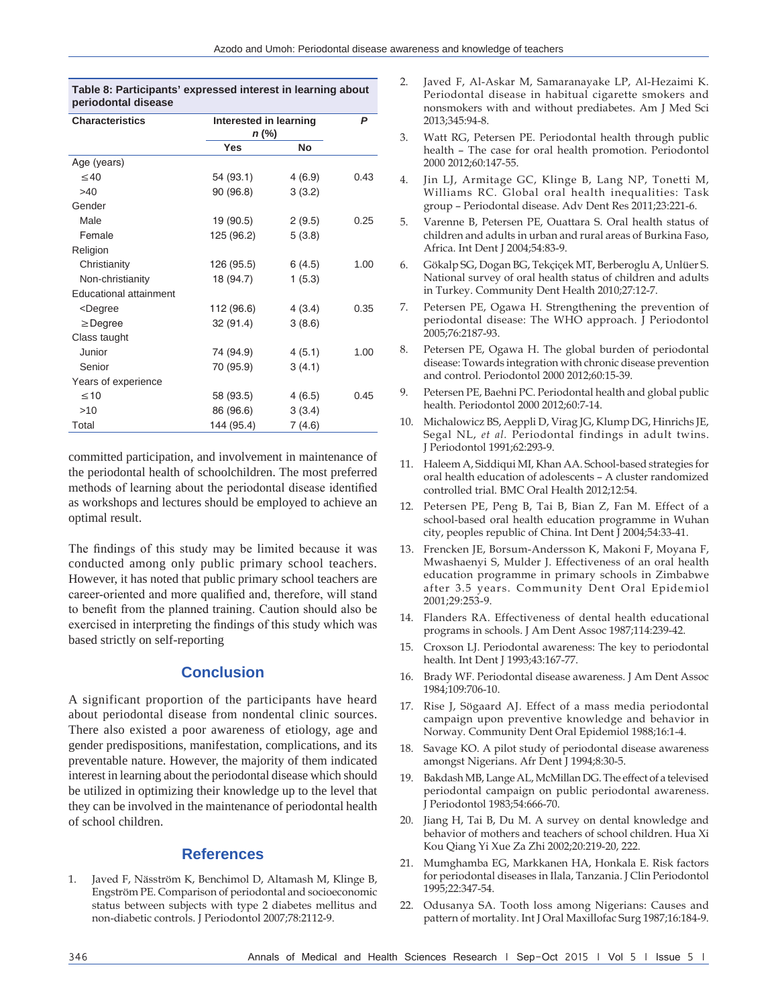| Table 8: Participants' expressed interest in learning about<br>periodontal disease |        |                                 |  |  |  |
|------------------------------------------------------------------------------------|--------|---------------------------------|--|--|--|
|                                                                                    |        | P                               |  |  |  |
| <b>Yes</b>                                                                         | No     |                                 |  |  |  |
|                                                                                    |        |                                 |  |  |  |
| 54 (93.1)                                                                          | 4(6.9) | 0.43                            |  |  |  |
| 90 (96.8)                                                                          | 3(3.2) |                                 |  |  |  |
|                                                                                    |        |                                 |  |  |  |
| 19 (90.5)                                                                          | 2(9.5) | 0.25                            |  |  |  |
| 125 (96.2)                                                                         | 5(3.8) |                                 |  |  |  |
|                                                                                    |        |                                 |  |  |  |
| 126 (95.5)                                                                         | 6(4.5) | 1.00                            |  |  |  |
| 18 (94.7)                                                                          | 1(5.3) |                                 |  |  |  |
|                                                                                    |        |                                 |  |  |  |
| 112 (96.6)                                                                         | 4(3.4) | 0.35                            |  |  |  |
| 32 (91.4)                                                                          | 3(8.6) |                                 |  |  |  |
|                                                                                    |        |                                 |  |  |  |
| 74 (94.9)                                                                          | 4(5.1) | 1.00                            |  |  |  |
| 70 (95.9)                                                                          | 3(4.1) |                                 |  |  |  |
|                                                                                    |        |                                 |  |  |  |
| 58 (93.5)                                                                          | 4(6.5) | 0.45                            |  |  |  |
| 86 (96.6)                                                                          | 3(3.4) |                                 |  |  |  |
| 144 (95.4)                                                                         | 7(4.6) |                                 |  |  |  |
|                                                                                    |        | Interested in learning<br>n (%) |  |  |  |

committed participation, and involvement in maintenance of the periodontal health of schoolchildren. The most preferred methods of learning about the periodontal disease identified as workshops and lectures should be employed to achieve an optimal result.

The findings of this study may be limited because it was conducted among only public primary school teachers. However, it has noted that public primary school teachers are career‑oriented and more qualified and, therefore, will stand to benefit from the planned training. Caution should also be exercised in interpreting the findings of this study which was based strictly on self-reporting

## **Conclusion**

A significant proportion of the participants have heard about periodontal disease from nondental clinic sources. There also existed a poor awareness of etiology, age and gender predispositions, manifestation, complications, and its preventable nature. However, the majority of them indicated interest in learning about the periodontal disease which should be utilized in optimizing their knowledge up to the level that they can be involved in the maintenance of periodontal health of school children.

## **References**

1. Javed F, Näsström K, Benchimol D, Altamash M, Klinge B, Engström PE. Comparison of periodontal and socioeconomic status between subjects with type 2 diabetes mellitus and non‑diabetic controls. J Periodontol 2007;78:2112‑9.

- 2. Javed F, Al-Askar M, Samaranayake LP, Al-Hezaimi K. Periodontal disease in habitual cigarette smokers and nonsmokers with and without prediabetes. Am J Med Sci 2013;345:94‑8.
- 3. Watt RG, Petersen PE. Periodontal health through public health – The case for oral health promotion. Periodontol 2000 2012;60:147‑55.
- Jin LJ, Armitage GC, Klinge B, Lang NP, Tonetti M, Williams RC. Global oral health inequalities: Task group – Periodontal disease. Adv Dent Res 2011;23:221‑6.
- 5. Varenne B, Petersen PE, Ouattara S. Oral health status of children and adults in urban and rural areas of Burkina Faso, Africa. Int Dent J 2004;54:83‑9.
- 6. Gökalp SG, Dogan BG, Tekçiçek MT, Berberoglu A, Unlüer S. National survey of oral health status of children and adults in Turkey. Community Dent Health 2010;27:12‑7.
- 7. Petersen PE, Ogawa H. Strengthening the prevention of periodontal disease: The WHO approach. J Periodontol 2005;76:2187‑93.
- 8. Petersen PE, Ogawa H. The global burden of periodontal disease: Towards integration with chronic disease prevention and control. Periodontol 2000 2012;60:15‑39.
- 9. Petersen PE, Baehni PC. Periodontal health and global public health. Periodontol 2000 2012;60:7‑14.
- 10. Michalowicz BS, Aeppli D, Virag JG, Klump DG, Hinrichs JE, Segal NL, *et al.* Periodontal findings in adult twins. J Periodontol 1991;62:293‑9.
- 11. Haleem A, Siddiqui MI, Khan AA. School‑based strategies for oral health education of adolescents – A cluster randomized controlled trial. BMC Oral Health 2012;12:54.
- 12. Petersen PE, Peng B, Tai B, Bian Z, Fan M. Effect of a school-based oral health education programme in Wuhan city, peoples republic of China. Int Dent J 2004;54:33‑41.
- 13. Frencken JE, Borsum‑Andersson K, Makoni F, Moyana F, Mwashaenyi S, Mulder J. Effectiveness of an oral health education programme in primary schools in Zimbabwe after 3.5 years. Community Dent Oral Epidemiol 2001;29:253‑9.
- 14. Flanders RA. Effectiveness of dental health educational programs in schools. J Am Dent Assoc 1987;114:239-42.
- 15. Croxson LJ. Periodontal awareness: The key to periodontal health. Int Dent J 1993;43:167-77.
- 16. Brady WF. Periodontal disease awareness. J Am Dent Assoc 1984;109:706‑10.
- 17. Rise J, Sögaard AJ. Effect of a mass media periodontal campaign upon preventive knowledge and behavior in Norway. Community Dent Oral Epidemiol 1988;16:1‑4.
- 18. Savage KO. A pilot study of periodontal disease awareness amongst Nigerians. Afr Dent J 1994;8:30‑5.
- 19. Bakdash MB, Lange AL, McMillan DG. The effect of a televised periodontal campaign on public periodontal awareness. J Periodontol 1983;54:666‑70.
- 20. Jiang H, Tai B, Du M. A survey on dental knowledge and behavior of mothers and teachers of school children. Hua Xi Kou Qiang Yi Xue Za Zhi 2002;20:219‑20, 222.
- 21. Mumghamba EG, Markkanen HA, Honkala E. Risk factors for periodontal diseases in Ilala, Tanzania. J Clin Periodontol 1995;22:347‑54.
- 22. Odusanya SA. Tooth loss among Nigerians: Causes and pattern of mortality. Int J Oral Maxillofac Surg 1987;16:184-9.